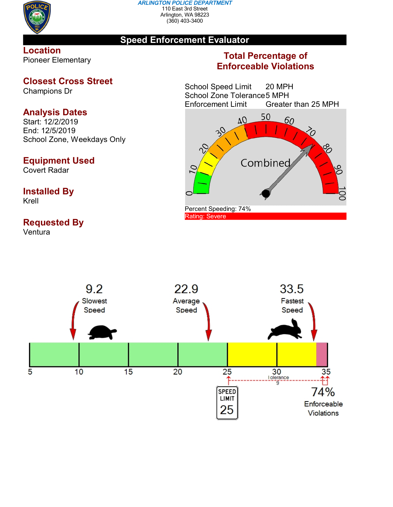

#### *ARLINGTON POLICE DEPARTMENT* 110 East 3rd Street Arlington, WA 98223 (360) 403-3400

### **Speed Enforcement Evaluator**

### **Location** Pioneer Elementary

### **Closest Cross Street**

Champions Dr

# **Analysis Dates**

Start: 12/2/2019 End: 12/5/2019 School Zone, Weekdays Only

### **Equipment Used**

Covert Radar

# **Installed By**

Krell

# **Requested By**

Ventura

### **Total Percentage of Enforceable Violations**

School Speed Limit 20 MPH School Zone Tolerance 5 MPH<br>Enforcement Limit Greater Greater than 25 MPH